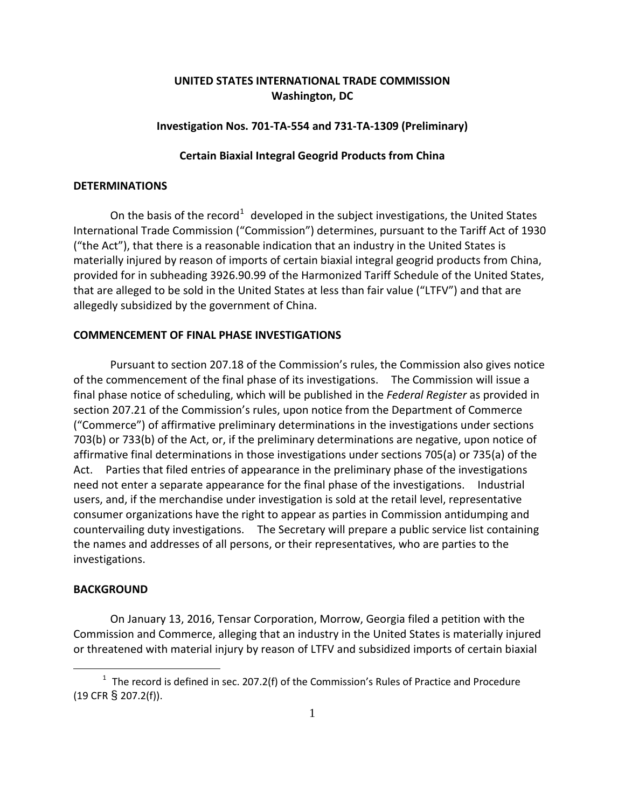# **UNITED STATES INTERNATIONAL TRADE COMMISSION Washington, DC**

# **Investigation Nos. 701-TA-554 and 731-TA-1309 (Preliminary)**

# **Certain Biaxial Integral Geogrid Products from China**

# **DETERMINATIONS**

On the basis of the record<sup>[1](#page-0-0)</sup> developed in the subject investigations, the United States International Trade Commission ("Commission") determines, pursuant to the Tariff Act of 1930 ("the Act"), that there is a reasonable indication that an industry in the United States is materially injured by reason of imports of certain biaxial integral geogrid products from China, provided for in subheading 3926.90.99 of the Harmonized Tariff Schedule of the United States, that are alleged to be sold in the United States at less than fair value ("LTFV") and that are allegedly subsidized by the government of China.

# **COMMENCEMENT OF FINAL PHASE INVESTIGATIONS**

Pursuant to section 207.18 of the Commission's rules, the Commission also gives notice of the commencement of the final phase of its investigations. The Commission will issue a final phase notice of scheduling, which will be published in the *Federal Register* as provided in section 207.21 of the Commission's rules, upon notice from the Department of Commerce ("Commerce") of affirmative preliminary determinations in the investigations under sections 703(b) or 733(b) of the Act, or, if the preliminary determinations are negative, upon notice of affirmative final determinations in those investigations under sections 705(a) or 735(a) of the Act. Parties that filed entries of appearance in the preliminary phase of the investigations need not enter a separate appearance for the final phase of the investigations. Industrial users, and, if the merchandise under investigation is sold at the retail level, representative consumer organizations have the right to appear as parties in Commission antidumping and countervailing duty investigations. The Secretary will prepare a public service list containing the names and addresses of all persons, or their representatives, who are parties to the investigations.

#### **BACKGROUND**

 $\overline{a}$ 

On January 13, 2016, Tensar Corporation, Morrow, Georgia filed a petition with the Commission and Commerce, alleging that an industry in the United States is materially injured or threatened with material injury by reason of LTFV and subsidized imports of certain biaxial

<span id="page-0-0"></span> $1$  The record is defined in sec. 207.2(f) of the Commission's Rules of Practice and Procedure (19 CFR § 207.2(f)).